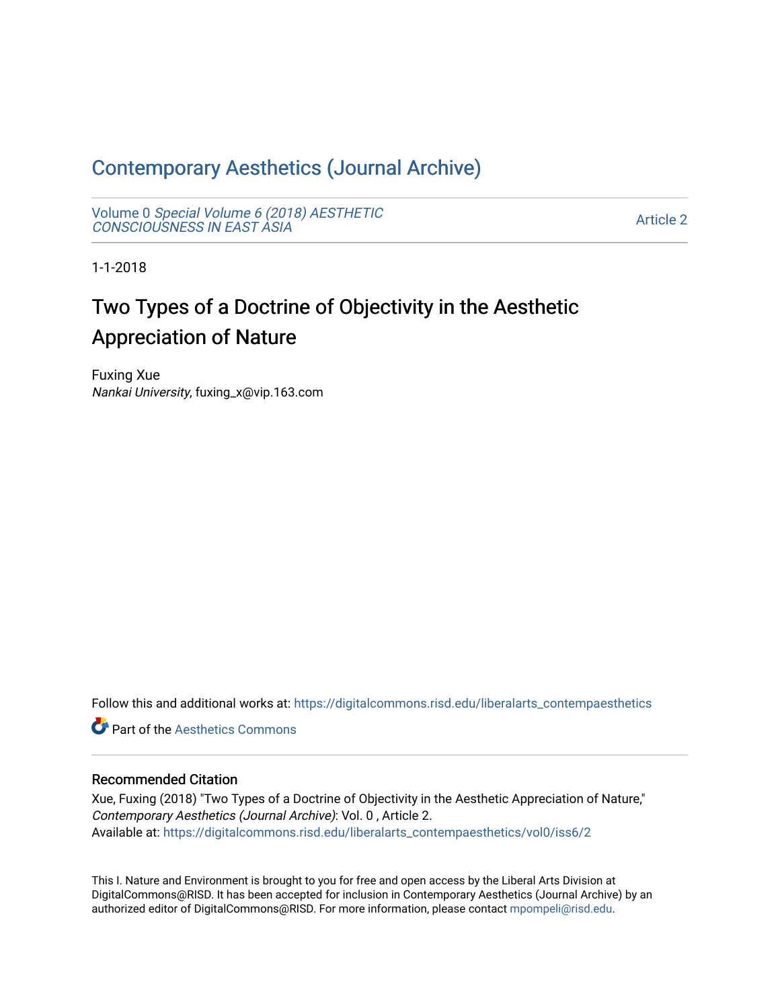# [Contemporary Aesthetics \(Journal Archive\)](https://digitalcommons.risd.edu/liberalarts_contempaesthetics)

Volume 0 [Special Volume 6 \(2018\) AESTHETIC](https://digitalcommons.risd.edu/liberalarts_contempaesthetics/vol0) [CONSCIOUSNESS IN EAST ASIA](https://digitalcommons.risd.edu/liberalarts_contempaesthetics/vol0)

[Article 2](https://digitalcommons.risd.edu/liberalarts_contempaesthetics/vol0/iss6/2) 

1-1-2018

# Two Types of a Doctrine of Objectivity in the Aesthetic Appreciation of Nature

Fuxing Xue Nankai University, fuxing\_x@vip.163.com

Follow this and additional works at: [https://digitalcommons.risd.edu/liberalarts\\_contempaesthetics](https://digitalcommons.risd.edu/liberalarts_contempaesthetics?utm_source=digitalcommons.risd.edu%2Fliberalarts_contempaesthetics%2Fvol0%2Fiss6%2F2&utm_medium=PDF&utm_campaign=PDFCoverPages) 

**C** Part of the Aesthetics Commons

# Recommended Citation

Xue, Fuxing (2018) "Two Types of a Doctrine of Objectivity in the Aesthetic Appreciation of Nature," Contemporary Aesthetics (Journal Archive): Vol. 0 , Article 2. Available at: [https://digitalcommons.risd.edu/liberalarts\\_contempaesthetics/vol0/iss6/2](https://digitalcommons.risd.edu/liberalarts_contempaesthetics/vol0/iss6/2?utm_source=digitalcommons.risd.edu%2Fliberalarts_contempaesthetics%2Fvol0%2Fiss6%2F2&utm_medium=PDF&utm_campaign=PDFCoverPages)

This I. Nature and Environment is brought to you for free and open access by the Liberal Arts Division at DigitalCommons@RISD. It has been accepted for inclusion in Contemporary Aesthetics (Journal Archive) by an authorized editor of DigitalCommons@RISD. For more information, please contact [mpompeli@risd.edu.](mailto:mpompeli@risd.edu)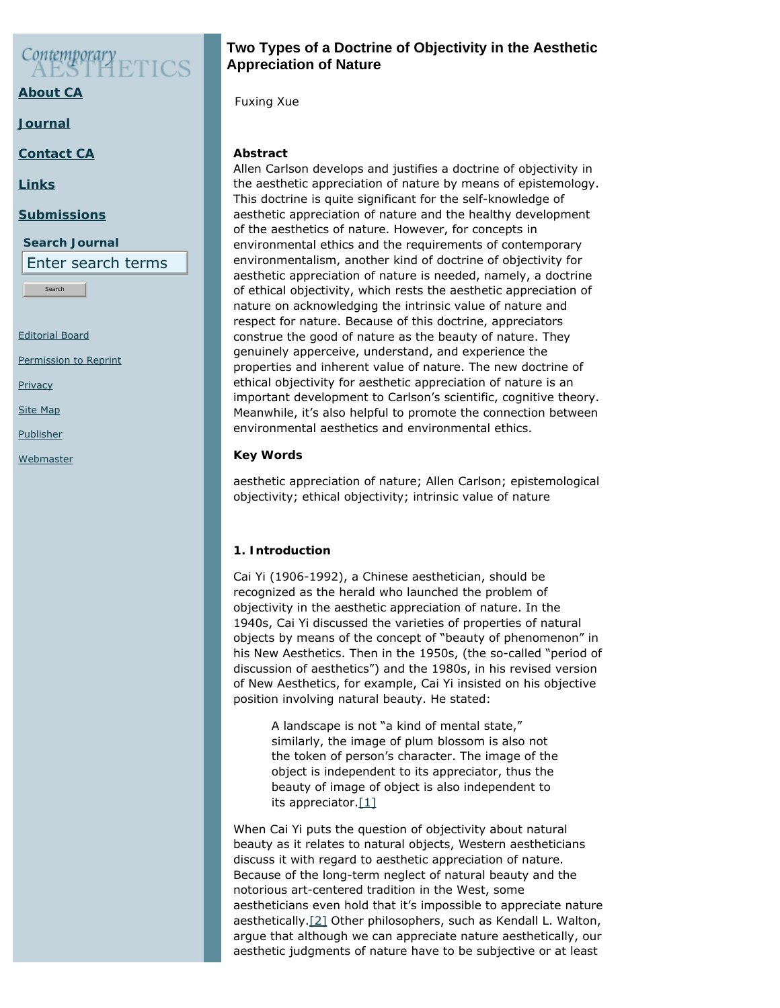# Contemporary

**[About CA](https://www.contempaesthetics.org/pages/about.html)**

**[Journal](https://www.contempaesthetics.org/newvolume/pages/journal.php)**

**[Contact CA](https://www.contempaesthetics.org/pages/contact.html)**

**[Links](https://www.contempaesthetics.org/pages/links.html)**

## **[Submissions](https://www.contempaesthetics.org/pages/guidelines.html)**

**Search Journal** Enter search terms

Search

[Editorial Board](https://www.contempaesthetics.org/pages/editorialboard.html)

[Permission to Reprint](https://www.contempaesthetics.org/pages/reprint.html)

**[Privacy](https://www.contempaesthetics.org/pages/privacy.html)** 

[Site Map](https://www.contempaesthetics.org/pages/sitemap.html)

**[Publisher](https://www.contempaesthetics.org/pages/publisher.html)** 

**[Webmaster](mailto:webmaster@contempaesthetics.org)** 

# **Two Types of a Doctrine of Objectivity in the Aesthetic Appreciation of Nature**

 *Fuxing Xue*

## **Abstract**

Allen Carlson develops and justifies a doctrine of objectivity in the aesthetic appreciation of nature by means of epistemology. This doctrine is quite significant for the self-knowledge of aesthetic appreciation of nature and the healthy development of the aesthetics of nature. However, for concepts in environmental ethics and the requirements of contemporary environmentalism, another kind of doctrine of objectivity for aesthetic appreciation of nature is needed, namely, a doctrine of ethical objectivity, which rests the aesthetic appreciation of nature on acknowledging the intrinsic value of nature and respect for nature. Because of this doctrine, appreciators construe the good of nature as the beauty of nature. They genuinely apperceive, understand, and experience the properties and inherent value of nature. The new doctrine of ethical objectivity for aesthetic appreciation of nature is an important development to Carlson's scientific, cognitive theory. Meanwhile, it's also helpful to promote the connection between environmental aesthetics and environmental ethics.

# **Key Words**

aesthetic appreciation of nature; Allen Carlson; epistemological objectivity; ethical objectivity; intrinsic value of nature

# **1. Introduction**

Cai Yi (1906-1992), a Chinese aesthetician, should be recognized as the herald who launched the problem of objectivity in the aesthetic appreciation of nature. In the 1940s, Cai Yi discussed the varieties of properties of natural objects by means of the concept of "beauty of phenomenon" in his *New Aesthetics*. Then in the 1950s, (the so-called "period of discussion of aesthetics") and the 1980s, in his revised version of *New Aesthetics*, for example, Cai Yi insisted on his objective position involving natural beauty. He stated:

A landscape is not "a kind of mental state," similarly, the image of plum blossom is also not the token of person's character. The image of the object is independent to its appreciator, thus the beauty of image of object is also independent to its appreciator. $[1]$ 

<span id="page-1-1"></span><span id="page-1-0"></span>When Cai Yi puts the question of objectivity about natural beauty as it relates to natural objects, Western aestheticians discuss it with regard to aesthetic appreciation of nature. Because of the long-term neglect of natural beauty and the notorious art-centered tradition in the West, some aestheticians even hold that it's impossible to appreciate nature aesthetically.[\[2\]](#page-13-1) Other philosophers, such as Kendall L. Walton, argue that although we can appreciate nature aesthetically, our aesthetic judgments of nature have to be subjective or at least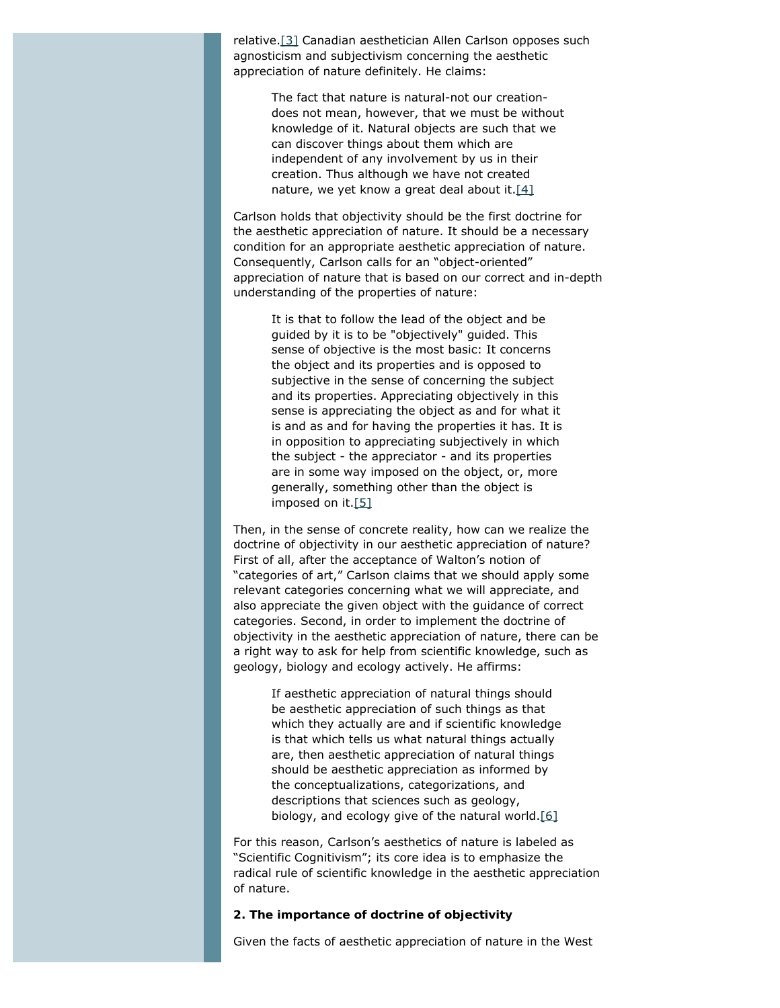<span id="page-2-0"></span>relative[.\[3\]](#page-13-2) Canadian aesthetician Allen Carlson opposes such agnosticism and subjectivism concerning the aesthetic appreciation of nature definitely. He claims:

The fact that nature is natural-not our creationdoes not mean, however, that we must be without knowledge of it. Natural objects are such that we can discover things about them which are independent of any involvement by us in their creation. Thus although we have not created nature, we yet know a great deal about it[.\[4\]](#page-13-3)

<span id="page-2-1"></span>Carlson holds that objectivity should be the first doctrine for the aesthetic appreciation of nature. It should be a necessary condition for an appropriate aesthetic appreciation of nature. Consequently, Carlson calls for an "object-oriented" appreciation of nature that is based on our correct and in-depth understanding of the properties of nature:

It is that to follow the lead of the object and be guided by it is to be "objectively" guided. This sense of objective is the most basic: It concerns the object and its properties and is opposed to subjective in the sense of concerning the subject and its properties. Appreciating objectively in this sense is appreciating the object as and for what it is and as and for having the properties it has. It is in opposition to appreciating subjectively in which the subject - the appreciator - and its properties are in some way imposed on the object, or, more generally, something other than the object is imposed on it.[\[5\]](#page-13-4)

<span id="page-2-2"></span>Then, in the sense of concrete reality, how can we realize the doctrine of objectivity in our aesthetic appreciation of nature? First of all, after the acceptance of Walton's notion of "categories of art," Carlson claims that we should apply some relevant categories concerning what we will appreciate, and also appreciate the given object with the guidance of correct categories. Second, in order to implement the doctrine of objectivity in the aesthetic appreciation of nature, there can be a right way to ask for help from scientific knowledge, such as geology, biology and ecology actively. He affirms:

If aesthetic appreciation of natural things should be aesthetic appreciation of such things as that which they actually are and if scientific knowledge is that which tells us what natural things actually are, then aesthetic appreciation of natural things should be aesthetic appreciation as informed by the conceptualizations, categorizations, and descriptions that sciences such as geology, biology, and ecology give of the natural world[.\[6\]](#page-13-5)

<span id="page-2-3"></span>For this reason, Carlson's aesthetics of nature is labeled as "Scientific Cognitivism"; its core idea is to emphasize the radical rule of scientific knowledge in the aesthetic appreciation of nature.

#### **2. The importance of doctrine of objectivity**

Given the facts of aesthetic appreciation of nature in the West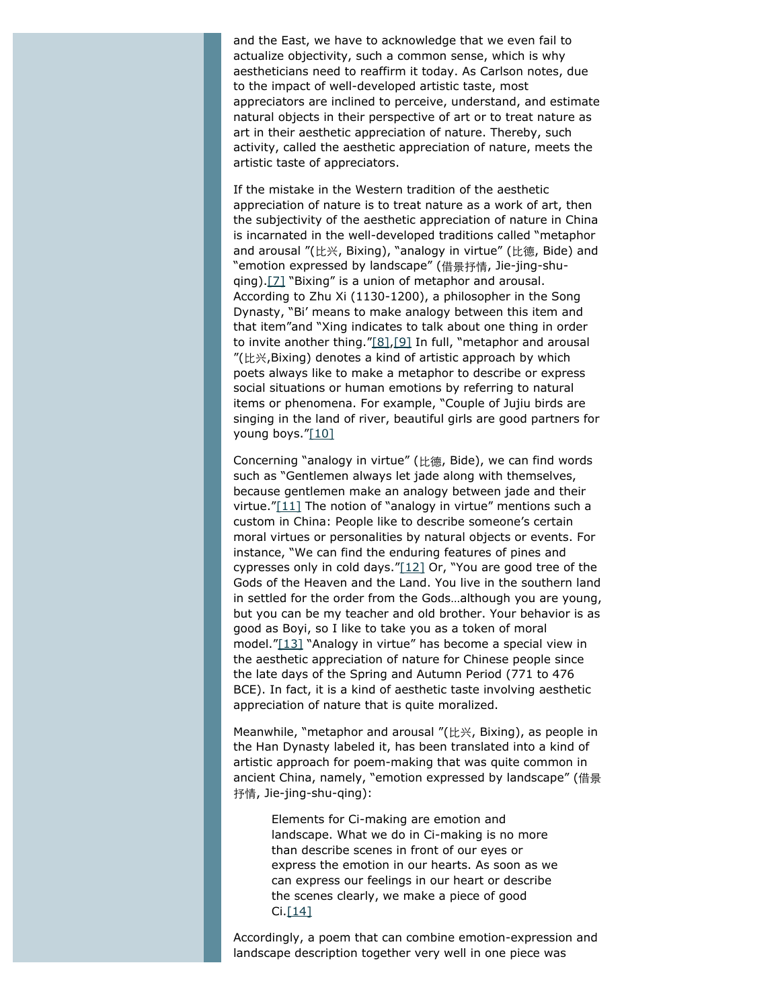and the East, we have to acknowledge that we even fail to actualize objectivity, such a common sense, which is why aestheticians need to reaffirm it today. As Carlson notes, due to the impact of well-developed artistic taste, most appreciators are inclined to perceive, understand, and estimate natural objects in their perspective of art or to treat nature as art in their aesthetic appreciation of nature. Thereby, such activity, called the aesthetic appreciation of nature, meets the artistic taste of appreciators.

<span id="page-3-0"></span>If the mistake in the Western tradition of the aesthetic appreciation of nature is to treat nature as a work of art, then the subjectivity of the aesthetic appreciation of nature in China is incarnated in the well-developed traditions called "metaphor and arousal "(比兴, Bixing), "analogy in virtue" (比德, Bide) and "emotion expressed by landscape" (借景抒情, Jie-jing-shuqing).[\[7\]](#page-13-6) "Bixing" is a union of metaphor and arousal. According to Zhu Xi (1130-1200), a philosopher in the Song Dynasty, "Bi' means to make analogy between this item and that item"and "Xing indicates to talk about one thing in order to invite another thing.["\[8\]](#page-13-7)[,\[9\]](#page-13-8) In full, "metaphor and arousal "(比兴,Bixing) denotes a kind of artistic approach by which poets always like to make a metaphor to describe or express social situations or human emotions by referring to natural items or phenomena. For example, "Couple of Jujiu birds are singing in the land of river, beautiful girls are good partners for young boys."[\[10\]](#page-13-9)

<span id="page-3-4"></span><span id="page-3-3"></span><span id="page-3-2"></span><span id="page-3-1"></span>Concerning "analogy in virtue" (比德, Bide), we can find words such as "Gentlemen always let jade along with themselves, because gentlemen make an analogy between jade and their virtue." $[11]$  The notion of "analogy in virtue" mentions such a custom in China: People like to describe someone's certain moral virtues or personalities by natural objects or events. For instance, "We can find the enduring features of pines and cypresses only in cold days."[\[12\]](#page-13-11) Or, "You are good tree of the Gods of the Heaven and the Land. You live in the southern land in settled for the order from the Gods…although you are young, but you can be my teacher and old brother. Your behavior is as good as Boyi, so I like to take you as a token of moral model.["\[13\]](#page-13-12) "Analogy in virtue" has become a special view in the aesthetic appreciation of nature for Chinese people since the late days of the Spring and Autumn Period (771 to 476 BCE). In fact, it is a kind of aesthetic taste involving aesthetic appreciation of nature that is quite moralized.

<span id="page-3-5"></span>Meanwhile, "metaphor and arousal "(比兴, Bixing), as people in the Han Dynasty labeled it, has been translated into a kind of artistic approach for poem-making that was quite common in ancient China, namely, "emotion expressed by landscape" (借景 抒情, Jie-jing-shu-qing):

Elements for Ci-making are emotion and landscape. What we do in Ci-making is no more than describe scenes in front of our eyes or express the emotion in our hearts. As soon as we can express our feelings in our heart or describe the scenes clearly, we make a piece of good Ci[.\[14\]](#page-13-13)

<span id="page-3-6"></span>Accordingly, a poem that can combine emotion-expression and landscape description together very well in one piece was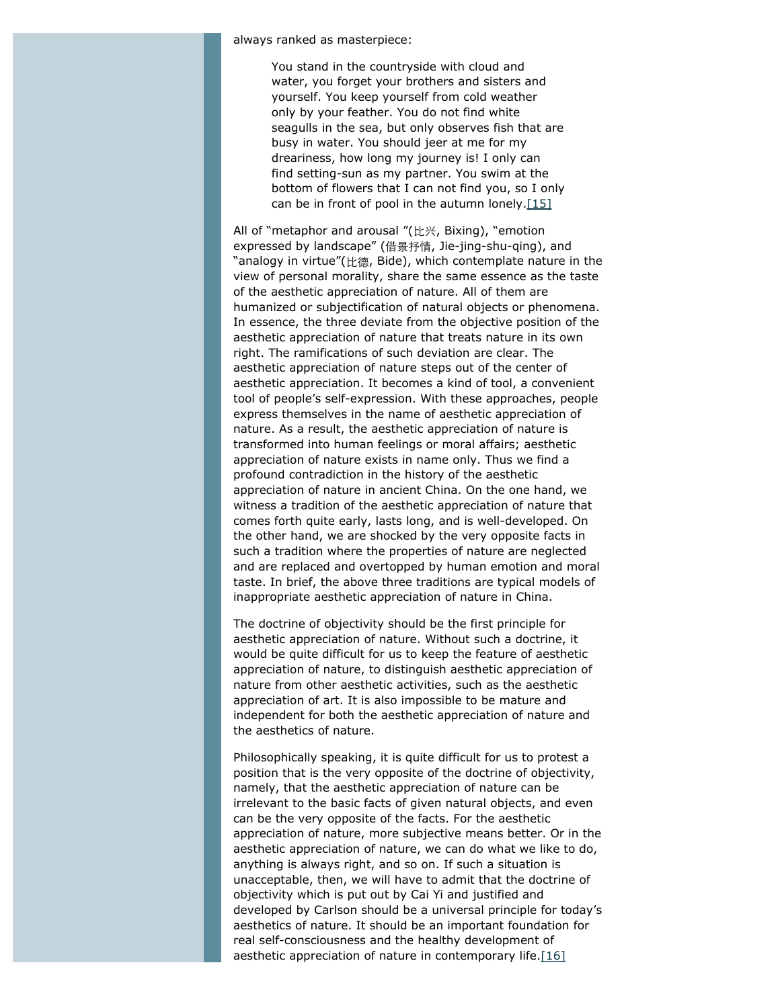always ranked as masterpiece:

You stand in the countryside with cloud and water, you forget your brothers and sisters and yourself. You keep yourself from cold weather only by your feather. You do not find white seagulls in the sea, but only observes fish that are busy in water. You should jeer at me for my dreariness, how long my journey is! I only can find setting-sun as my partner. You swim at the bottom of flowers that I can not find you, so I only can be in front of pool in the autumn lonely. $[15]$ 

<span id="page-4-0"></span>All of "metaphor and arousal "(比兴, Bixing), "emotion expressed by landscape" (借景抒情, Jie-jing-shu-qing), and "analogy in virtue"(比德, Bide), which contemplate nature in the view of personal morality, share the same essence as the taste of the aesthetic appreciation of nature. All of them are humanized or subjectification of natural objects or phenomena. In essence, the three deviate from the objective position of the aesthetic appreciation of nature that treats nature in its own right. The ramifications of such deviation are clear. The aesthetic appreciation of nature steps out of the center of aesthetic appreciation. It becomes a kind of tool, a convenient tool of people's self-expression. With these approaches, people express themselves in the name of aesthetic appreciation of nature. As a result, the aesthetic appreciation of nature is transformed into human feelings or moral affairs; aesthetic appreciation of nature exists in name only. Thus we find a profound contradiction in the history of the aesthetic appreciation of nature in ancient China. On the one hand, we witness a tradition of the aesthetic appreciation of nature that comes forth quite early, lasts long, and is well-developed. On the other hand, we are shocked by the very opposite facts in such a tradition where the properties of nature are neglected and are replaced and overtopped by human emotion and moral taste. In brief, the above three traditions are typical models of inappropriate aesthetic appreciation of nature in China.

The doctrine of objectivity should be the first principle for aesthetic appreciation of nature. Without such a doctrine, it would be quite difficult for us to keep the feature of aesthetic appreciation of nature, to distinguish aesthetic appreciation of nature from other aesthetic activities, such as the aesthetic appreciation of art. It is also impossible to be mature and independent for both the aesthetic appreciation of nature and the aesthetics of nature.

<span id="page-4-1"></span>Philosophically speaking, it is quite difficult for us to protest a position that is the very opposite of the doctrine of objectivity, namely, that the aesthetic appreciation of nature can be irrelevant to the basic facts of given natural objects, and even can be the very opposite of the facts. For the aesthetic appreciation of nature, more subjective means better. Or in the aesthetic appreciation of nature, we can do what we like to do, anything is always right, and so on. If such a situation is unacceptable, then, we will have to admit that the doctrine of objectivity which is put out by Cai Yi and justified and developed by Carlson should be a universal principle for today's aesthetics of nature. It should be an important foundation for real self-consciousness and the healthy development of aesthetic appreciation of nature in contemporary life. $[16]$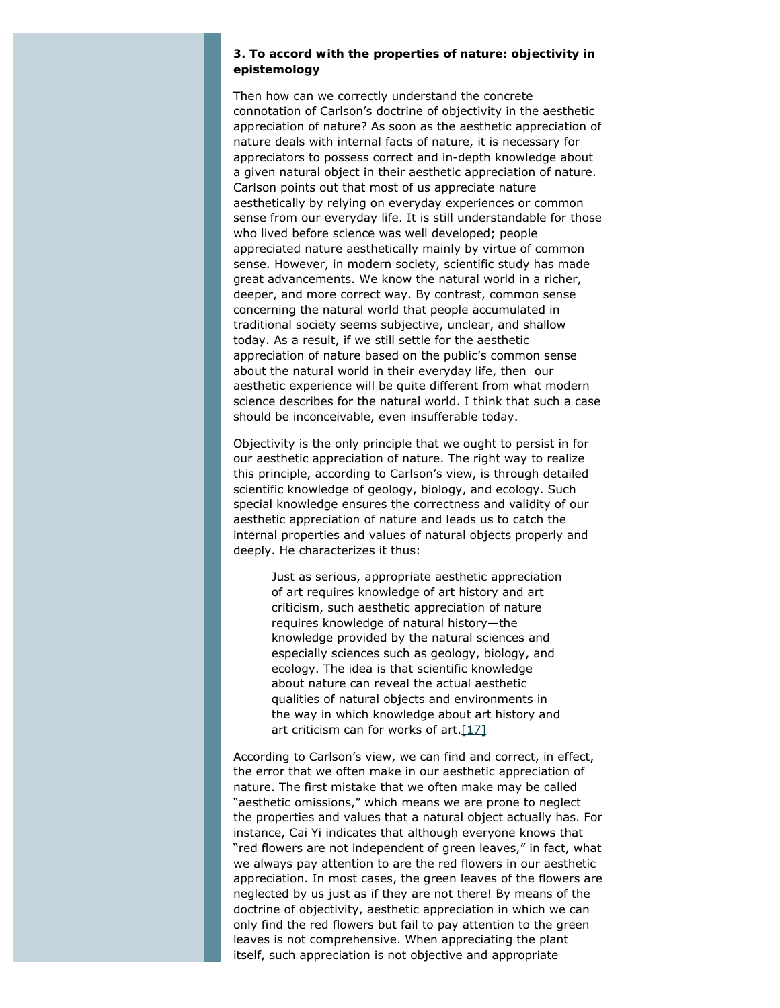#### **3. To accord with the properties of nature: objectivity in epistemology**

Then how can we correctly understand the concrete connotation of Carlson's doctrine of objectivity in the aesthetic appreciation of nature? As soon as the aesthetic appreciation of nature deals with internal facts of nature, it is necessary for appreciators to possess correct and in-depth knowledge about a given natural object in their aesthetic appreciation of nature. Carlson points out that most of us appreciate nature aesthetically by relying on everyday experiences or common sense from our everyday life. It is still understandable for those who lived before science was well developed; people appreciated nature aesthetically mainly by virtue of common sense. However, in modern society, scientific study has made great advancements. We know the natural world in a richer, deeper, and more correct way. By contrast, common sense concerning the natural world that people accumulated in traditional society seems subjective, unclear, and shallow today. As a result, if we still settle for the aesthetic appreciation of nature based on the public's common sense about the natural world in their everyday life, then our aesthetic experience will be quite different from what modern science describes for the natural world. I think that such a case should be inconceivable, even insufferable today.

Objectivity is the only principle that we ought to persist in for our aesthetic appreciation of nature. The right way to realize this principle, according to Carlson's view, is through detailed scientific knowledge of geology, biology, and ecology. Such special knowledge ensures the correctness and validity of our aesthetic appreciation of nature and leads us to catch the internal properties and values of natural objects properly and deeply. He characterizes it thus:

> Just as serious, appropriate aesthetic appreciation of art requires knowledge of art history and art criticism, such aesthetic appreciation of nature requires knowledge of natural history—the knowledge provided by the natural sciences and especially sciences such as geology, biology, and ecology. The idea is that scientific knowledge about nature can reveal the actual aesthetic qualities of natural objects and environments in the way in which knowledge about art history and art criticism can for works of  $art.[17]$  $art.[17]$

<span id="page-5-0"></span>According to Carlson's view, we can find and correct, in effect, the error that we often make in our aesthetic appreciation of nature. The first mistake that we often make may be called "aesthetic omissions," which means we are prone to neglect the properties and values that a natural object actually has. For instance, Cai Yi indicates that although everyone knows that "red flowers are not independent of green leaves," in fact, what we always pay attention to are the red flowers in our aesthetic appreciation. In most cases, the green leaves of the flowers are neglected by us just as if they are not there! By means of the doctrine of objectivity, aesthetic appreciation in which we can only find the red flowers but fail to pay attention to the green leaves is not comprehensive. When appreciating the plant itself, such appreciation is not objective and appropriate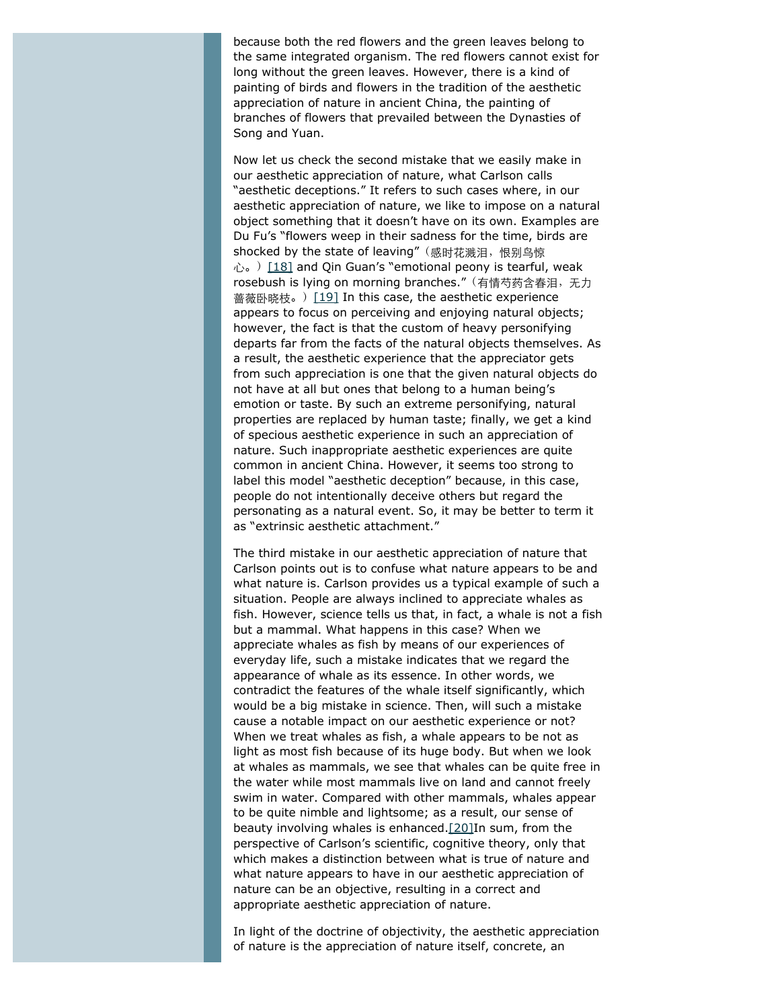because both the red flowers and the green leaves belong to the same integrated organism. The red flowers cannot exist for long without the green leaves. However, there is a kind of painting of birds and flowers in the tradition of the aesthetic appreciation of nature in ancient China, the painting of branches of flowers that prevailed between the Dynasties of Song and Yuan.

<span id="page-6-1"></span><span id="page-6-0"></span>Now let us check the second mistake that we easily make in our aesthetic appreciation of nature, what Carlson calls "aesthetic deceptions." It refers to such cases where, in our aesthetic appreciation of nature, we like to impose on a natural object something that it doesn't have on its own. Examples are Du Fu's "flowers weep in their sadness for the time, birds are shocked by the state of leaving" (感时花溅泪, 恨别鸟惊 心。) [\[18\]](#page-14-0) and Qin Guan's "emotional peony is tearful, weak rosebush is lying on morning branches."(有情芍药含春泪,无力 蔷薇卧晓枝。) [\[19\]](#page-14-1) In this case, the aesthetic experience appears to focus on perceiving and enjoying natural objects; however, the fact is that the custom of heavy personifying departs far from the facts of the natural objects themselves. As a result, the aesthetic experience that the appreciator gets from such appreciation is one that the given natural objects do not have at all but ones that belong to a human being's emotion or taste. By such an extreme personifying, natural properties are replaced by human taste; finally, we get a kind of specious aesthetic experience in such an appreciation of nature. Such inappropriate aesthetic experiences are quite common in ancient China. However, it seems too strong to label this model "aesthetic deception" because, in this case, people do not intentionally deceive others but regard the personating as a natural event. So, it may be better to term it as "extrinsic aesthetic attachment."

The third mistake in our aesthetic appreciation of nature that Carlson points out is to confuse what nature appears to be and what nature is. Carlson provides us a typical example of such a situation. People are always inclined to appreciate whales as fish. However, science tells us that, in fact, a whale is not a fish but a mammal. What happens in this case? When we appreciate whales as fish by means of our experiences of everyday life, such a mistake indicates that we regard the appearance of whale as its essence. In other words, we contradict the features of the whale itself significantly, which would be a big mistake in science. Then, will such a mistake cause a notable impact on our aesthetic experience or not? When we treat whales as fish, a whale appears to be not as light as most fish because of its huge body. But when we look at whales as mammals, we see that whales can be quite free in the water while most mammals live on land and cannot freely swim in water. Compared with other mammals, whales appear to be quite nimble and lightsome; as a result, our sense of beauty involving whales is enhanced[.\[20\]I](#page-14-2)n sum, from the perspective of Carlson's scientific, cognitive theory, only that which makes a distinction between what is true of nature and what nature appears to have in our aesthetic appreciation of nature can be an objective, resulting in a correct and appropriate aesthetic appreciation of nature.

<span id="page-6-2"></span>In light of the doctrine of objectivity, the aesthetic appreciation of nature is the appreciation of nature itself, concrete, an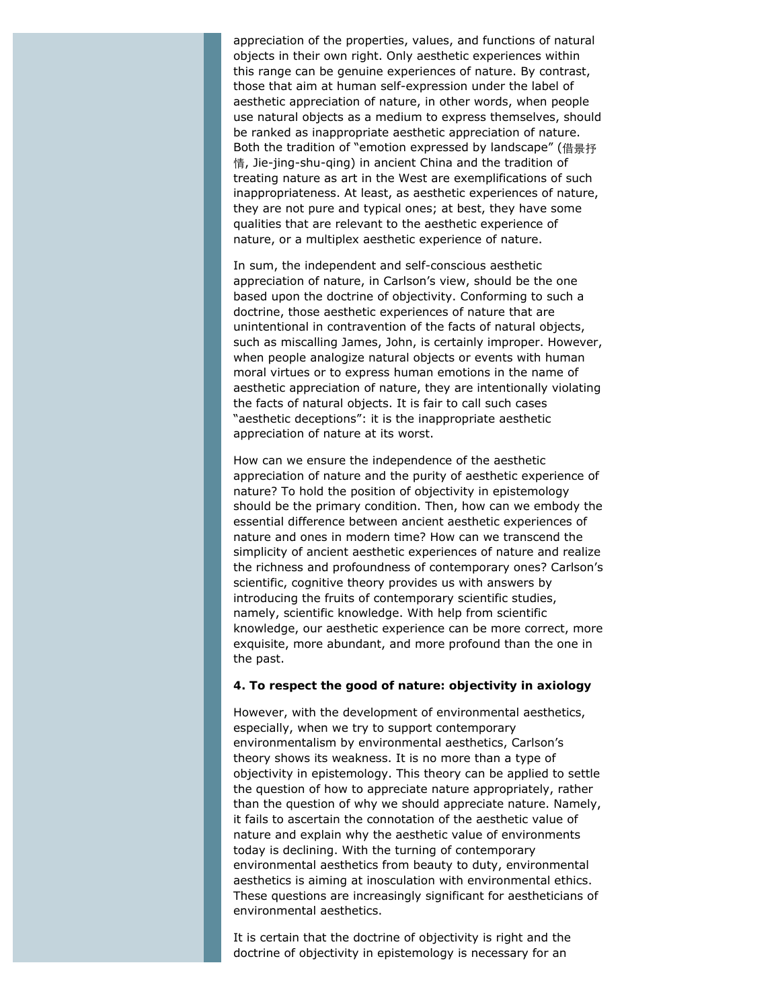appreciation of the properties, values, and functions of natural objects in their own right. Only aesthetic experiences within this range can be genuine experiences of nature. By contrast, those that aim at human self-expression under the label of aesthetic appreciation of nature, in other words, when people use natural objects as a medium to express themselves, should be ranked as inappropriate aesthetic appreciation of nature. Both the tradition of "emotion expressed by landscape" (借景抒 情, Jie-jing-shu-qing) in ancient China and the tradition of treating nature as art in the West are exemplifications of such inappropriateness. At least, as aesthetic experiences of nature, they are not pure and typical ones; at best, they have some qualities that are relevant to the aesthetic experience of nature, or a multiplex aesthetic experience of nature.

In sum, the independent and self-conscious aesthetic appreciation of nature, in Carlson's view, should be the one based upon the doctrine of objectivity. Conforming to such a doctrine, those aesthetic experiences of nature that are unintentional in contravention of the facts of natural objects, such as miscalling James, John, is certainly improper. However, when people analogize natural objects or events with human moral virtues or to express human emotions in the name of aesthetic appreciation of nature, they are intentionally violating the facts of natural objects. It is fair to call such cases "aesthetic deceptions": it is the inappropriate aesthetic appreciation of nature at its worst.

How can we ensure the independence of the aesthetic appreciation of nature and the purity of aesthetic experience of nature? To hold the position of objectivity in epistemology should be the primary condition. Then, how can we embody the essential difference between ancient aesthetic experiences of nature and ones in modern time? How can we transcend the simplicity of ancient aesthetic experiences of nature and realize the richness and profoundness of contemporary ones? Carlson's scientific, cognitive theory provides us with answers by introducing the fruits of contemporary scientific studies, namely, scientific knowledge. With help from scientific knowledge, our aesthetic experience can be more correct, more exquisite, more abundant, and more profound than the one in the past.

#### **4. To respect the good of nature: objectivity in axiology**

However, with the development of environmental aesthetics, especially, when we try to support contemporary environmentalism by environmental aesthetics, Carlson's theory shows its weakness. It is no more than a type of objectivity in epistemology. This theory can be applied to settle the question of how to appreciate nature appropriately, rather than the question of why we should appreciate nature. Namely, it fails to ascertain the connotation of the aesthetic value of nature and explain why the aesthetic value of environments today is declining. With the turning of contemporary environmental aesthetics from beauty to duty, environmental aesthetics is aiming at inosculation with environmental ethics. These questions are increasingly significant for aestheticians of environmental aesthetics.

It is certain that the doctrine of objectivity is right and the doctrine of objectivity in epistemology is necessary for an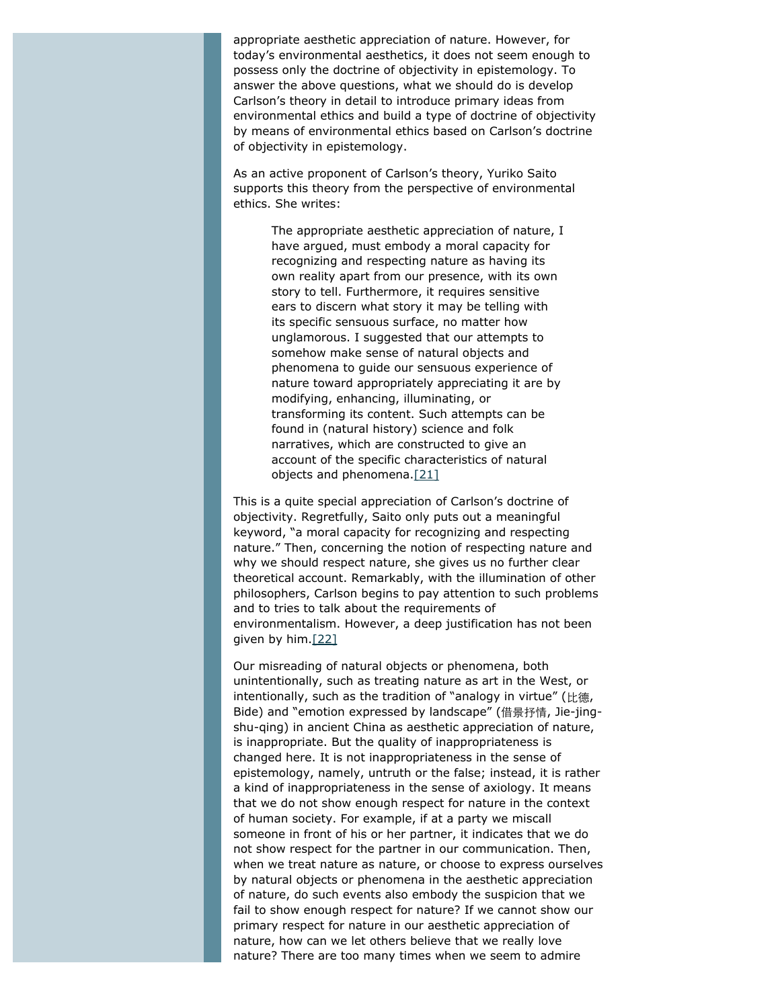appropriate aesthetic appreciation of nature. However, for today's environmental aesthetics, it does not seem enough to possess only the doctrine of objectivity in epistemology. To answer the above questions, what we should do is develop Carlson's theory in detail to introduce primary ideas from environmental ethics and build a type of doctrine of objectivity by means of environmental ethics based on Carlson's doctrine of objectivity in epistemology.

As an active proponent of Carlson's theory, Yuriko Saito supports this theory from the perspective of environmental ethics. She writes:

> The appropriate aesthetic appreciation of nature, I have argued, must embody a moral capacity for recognizing and respecting nature as having its own reality apart from our presence, with its own story to tell. Furthermore, it requires sensitive ears to discern what story it may be telling with its specific sensuous surface, no matter how unglamorous. I suggested that our attempts to somehow make sense of natural objects and phenomena to guide our sensuous experience of nature toward appropriately appreciating it are by modifying, enhancing, illuminating, or transforming its content. Such attempts can be found in (natural history) science and folk narratives, which are constructed to give an account of the specific characteristics of natural objects and phenomena[.\[21\]](#page-14-3)

<span id="page-8-0"></span>This is a quite special appreciation of Carlson's doctrine of objectivity. Regretfully, Saito only puts out a meaningful keyword, "a moral capacity for recognizing and respecting nature." Then, concerning the notion of respecting nature and why we should respect nature, she gives us no further clear theoretical account. Remarkably, with the illumination of other philosophers, Carlson begins to pay attention to such problems and to tries to talk about the requirements of environmentalism. However, a deep justification has not been given by him[.\[22\]](#page-14-4)

<span id="page-8-1"></span>Our misreading of natural objects or phenomena, both unintentionally, such as treating nature as art in the West, or intentionally, such as the tradition of "analogy in virtue" (比德, Bide) and "emotion expressed by landscape" (借景抒情, Jie-jingshu-qing) in ancient China as aesthetic appreciation of nature, is inappropriate. But the quality of inappropriateness is changed here. It is not inappropriateness in the sense of epistemology, namely, untruth or the false; instead, it is rather a kind of inappropriateness in the sense of axiology. It means that we do not show enough respect for nature in the context of human society. For example, if at a party we miscall someone in front of his or her partner, it indicates that we do not show respect for the partner in our communication. Then, when we treat nature as nature, or choose to express ourselves by natural objects or phenomena in the aesthetic appreciation of nature, do such events also embody the suspicion that we fail to show enough respect for nature? If we cannot show our primary respect for nature in our aesthetic appreciation of nature, how can we let others believe that we really love nature? There are too many times when we seem to admire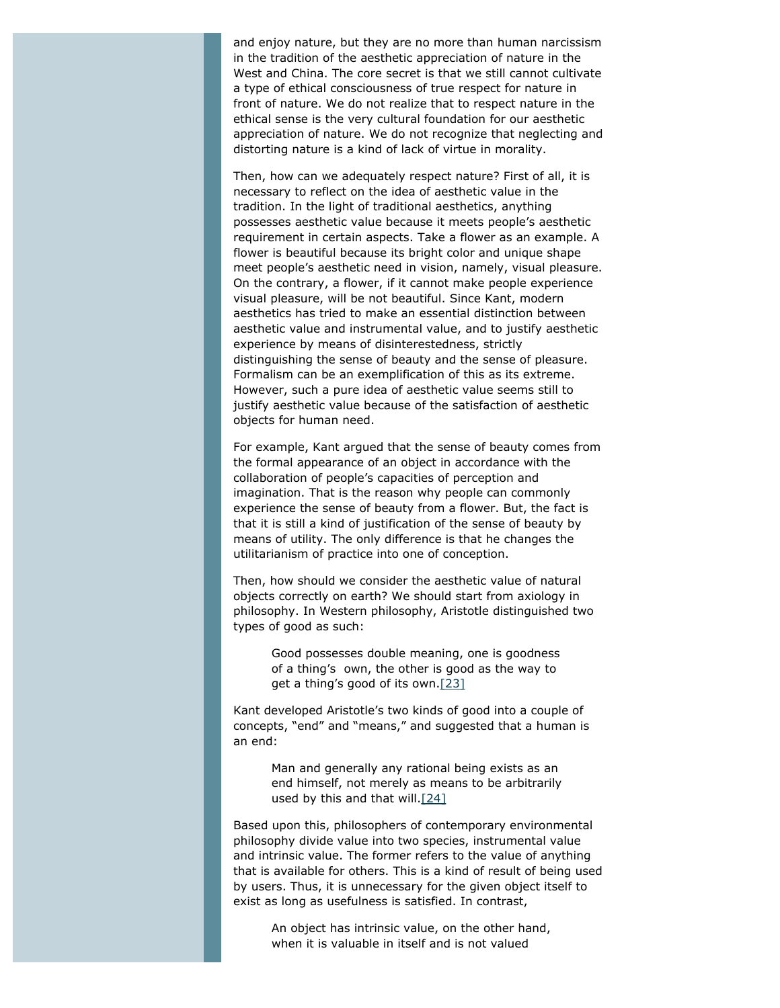and enjoy nature, but they are no more than human narcissism in the tradition of the aesthetic appreciation of nature in the West and China. The core secret is that we still cannot cultivate a type of ethical consciousness of true respect for nature in front of nature. We do not realize that to respect nature in the ethical sense is the very cultural foundation for our aesthetic appreciation of nature. We do not recognize that neglecting and distorting nature is a kind of lack of virtue in morality.

Then, how can we adequately respect nature? First of all, it is necessary to reflect on the idea of aesthetic value in the tradition. In the light of traditional aesthetics, anything possesses aesthetic value because it meets people's aesthetic requirement in certain aspects. Take a flower as an example. A flower is beautiful because its bright color and unique shape meet people's aesthetic need in vision, namely, visual pleasure. On the contrary, a flower, if it cannot make people experience visual pleasure, will be not beautiful. Since Kant, modern aesthetics has tried to make an essential distinction between aesthetic value and instrumental value, and to justify aesthetic experience by means of disinterestedness, strictly distinguishing the sense of beauty and the sense of pleasure. Formalism can be an exemplification of this as its extreme. However, such a pure idea of aesthetic value seems still to justify aesthetic value because of the satisfaction of aesthetic objects for human need.

For example, Kant argued that the sense of beauty comes from the formal appearance of an object in accordance with the collaboration of people's capacities of perception and imagination. That is the reason why people can commonly experience the sense of beauty from a flower. But, the fact is that it is still a kind of justification of the sense of beauty by means of utility. The only difference is that he changes the utilitarianism of practice into one of conception.

Then, how should we consider the aesthetic value of natural objects correctly on earth? We should start from axiology in philosophy. In Western philosophy, Aristotle distinguished two types of good as such:

> Good possesses double meaning, one is goodness of a thing's own, the other is good as the way to get a thing's good of its own[.\[23\]](#page-14-5)

<span id="page-9-0"></span>Kant developed Aristotle's two kinds of good into a couple of concepts, "end" and "means," and suggested that a human is an end:

> Man and generally any rational being exists as an end himself, not merely as means to be arbitrarily used by this and that will. $[24]$

<span id="page-9-1"></span>Based upon this, philosophers of contemporary environmental philosophy divide value into two species, instrumental value and intrinsic value. The former refers to the value of anything that is available for others. This is a kind of result of being used by users. Thus, it is unnecessary for the given object itself to exist as long as usefulness is satisfied. In contrast,

An object has intrinsic value, on the other hand, when it is valuable in itself and is not valued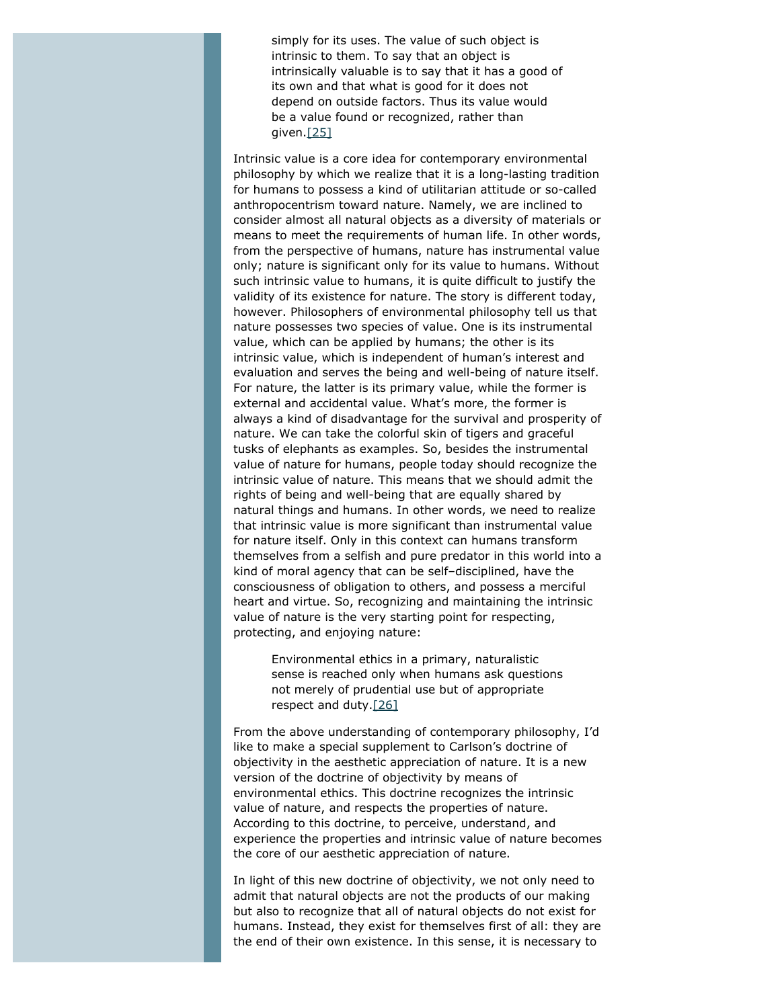simply for its uses. The value of such object is intrinsic to them. To say that an object is intrinsically valuable is to say that it has a good of its own and that what is good for it does not depend on outside factors. Thus its value would be a value found or recognized, rather than given[.\[25\]](#page-14-7)

<span id="page-10-0"></span>Intrinsic value is a core idea for contemporary environmental philosophy by which we realize that it is a long-lasting tradition for humans to possess a kind of utilitarian attitude or so-called anthropocentrism toward nature. Namely, we are inclined to consider almost all natural objects as a diversity of materials or means to meet the requirements of human life. In other words, from the perspective of humans, nature has instrumental value only; nature is significant only for its value to humans. Without such intrinsic value to humans, it is quite difficult to justify the validity of its existence for nature. The story is different today, however. Philosophers of environmental philosophy tell us that nature possesses two species of value. One is its instrumental value, which can be applied by humans; the other is its intrinsic value, which is independent of human's interest and evaluation and serves the being and well-being of nature itself. For nature, the latter is its primary value, while the former is external and accidental value. What's more, the former is always a kind of disadvantage for the survival and prosperity of nature. We can take the colorful skin of tigers and graceful tusks of elephants as examples. So, besides the instrumental value of nature for humans, people today should recognize the intrinsic value of nature. This means that we should admit the rights of being and well-being that are equally shared by natural things and humans. In other words, we need to realize that intrinsic value is more significant than instrumental value for nature itself. Only in this context can humans transform themselves from a selfish and pure predator in this world into a kind of moral agency that can be self–disciplined, have the consciousness of obligation to others, and possess a merciful heart and virtue. So, recognizing and maintaining the intrinsic value of nature is the very starting point for respecting, protecting, and enjoying nature:

Environmental ethics in a primary, naturalistic sense is reached only when humans ask questions not merely of prudential use but of appropriate respect and duty.[\[26\]](#page-14-8)

<span id="page-10-1"></span>From the above understanding of contemporary philosophy, I'd like to make a special supplement to Carlson's doctrine of objectivity in the aesthetic appreciation of nature. It is a new version of the doctrine of objectivity by means of environmental ethics. This doctrine recognizes the intrinsic value of nature, and respects the properties of nature. According to this doctrine, to perceive, understand, and experience the properties and intrinsic value of nature becomes the core of our aesthetic appreciation of nature.

In light of this new doctrine of objectivity, we not only need to admit that natural objects are not the products of our making but also to recognize that all of natural objects do not exist for humans. Instead, they exist for themselves first of all: they are the end of their own existence. In this sense, it is necessary to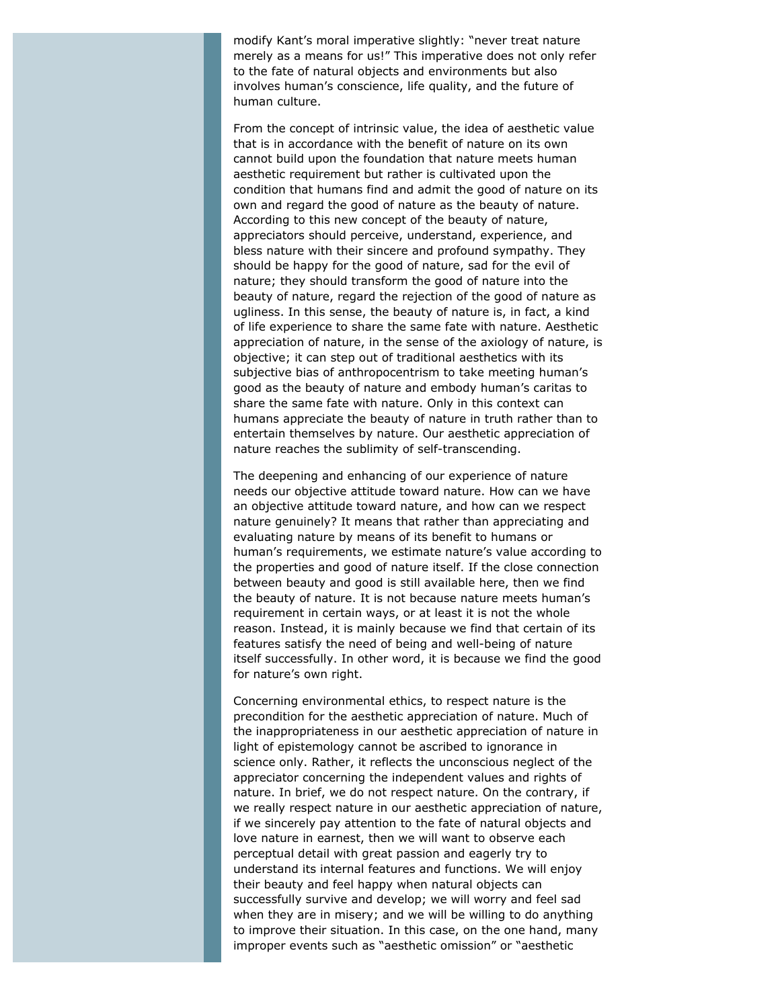modify Kant's moral imperative slightly: "never treat nature merely as a means for us!" This imperative does not only refer to the fate of natural objects and environments but also involves human's conscience, life quality, and the future of human culture.

From the concept of intrinsic value, the idea of aesthetic value that is in accordance with the benefit of nature on its own cannot build upon the foundation that nature meets human aesthetic requirement but rather is cultivated upon the condition that humans find and admit the good of nature on its own and regard the good of nature as the beauty of nature. According to this new concept of the beauty of nature, appreciators should perceive, understand, experience, and bless nature with their sincere and profound sympathy. They should be happy for the good of nature, sad for the evil of nature; they should transform the good of nature into the beauty of nature, regard the rejection of the good of nature as ugliness. In this sense, the beauty of nature is, in fact, a kind of life experience to share the same fate with nature. Aesthetic appreciation of nature, in the sense of the axiology of nature, is objective; it can step out of traditional aesthetics with its subjective bias of anthropocentrism to take meeting human's good as the beauty of nature and embody human's *caritas* to share the same fate with nature. Only in this context can humans appreciate the beauty of nature in truth rather than to entertain themselves by nature. Our aesthetic appreciation of nature reaches the sublimity of self-transcending.

The deepening and enhancing of our experience of nature needs our objective attitude toward nature. How can we have an objective attitude toward nature, and how can we respect nature genuinely? It means that rather than appreciating and evaluating nature by means of its benefit to humans or human's requirements, we estimate nature's value according to the properties and good of nature itself. If the close connection between beauty and good is still available here, then we find the beauty of nature. It is not because nature meets human's requirement in certain ways, or at least it is not the whole reason. Instead, it is mainly because we find that certain of its features satisfy the need of being and well-being of nature itself successfully. In other word, it is because we find the good for nature's own right.

Concerning environmental ethics, to respect nature is the precondition for the aesthetic appreciation of nature. Much of the inappropriateness in our aesthetic appreciation of nature in light of epistemology cannot be ascribed to ignorance in science only. Rather, it reflects the unconscious neglect of the appreciator concerning the independent values and rights of nature. In brief, we do not respect nature. On the contrary, if we really respect nature in our aesthetic appreciation of nature, if we sincerely pay attention to the fate of natural objects and love nature in earnest, then we will want to observe each perceptual detail with great passion and eagerly try to understand its internal features and functions. We will enjoy their beauty and feel happy when natural objects can successfully survive and develop; we will worry and feel sad when they are in misery; and we will be willing to do anything to improve their situation. In this case, on the one hand, many improper events such as "aesthetic omission" or "aesthetic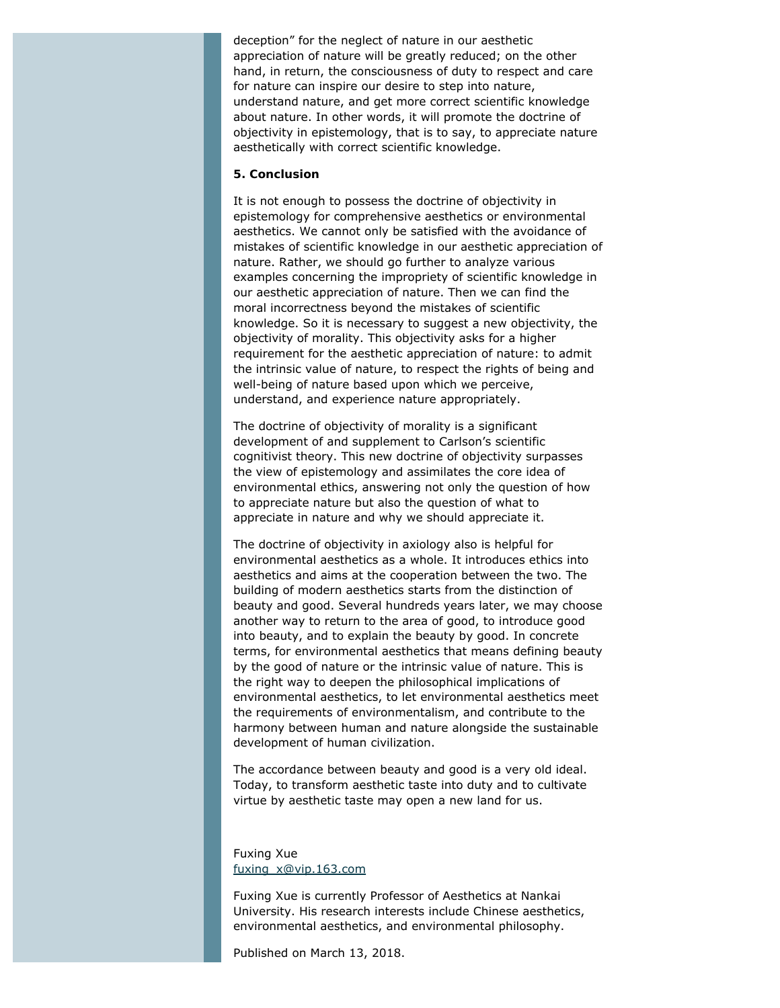deception" for the neglect of nature in our aesthetic appreciation of nature will be greatly reduced; on the other hand, in return, the consciousness of duty to respect and care for nature can inspire our desire to step into nature, understand nature, and get more correct scientific knowledge about nature. In other words, it will promote the doctrine of objectivity in epistemology, that is to say, to appreciate nature aesthetically with correct scientific knowledge.

#### **5. Conclusion**

It is not enough to possess the doctrine of objectivity in epistemology for comprehensive aesthetics or environmental aesthetics. We cannot only be satisfied with the avoidance of mistakes of scientific knowledge in our aesthetic appreciation of nature. Rather, we should go further to analyze various examples concerning the impropriety of scientific knowledge in our aesthetic appreciation of nature. Then we can find the moral incorrectness beyond the mistakes of scientific knowledge. So it is necessary to suggest a new objectivity, the objectivity of morality. This objectivity asks for a higher requirement for the aesthetic appreciation of nature: to admit the intrinsic value of nature, to respect the rights of being and well-being of nature based upon which we perceive, understand, and experience nature appropriately.

The doctrine of objectivity of morality is a significant development of and supplement to Carlson's scientific cognitivist theory. This new doctrine of objectivity surpasses the view of epistemology and assimilates the core idea of environmental ethics, answering not only the question of how to appreciate nature but also the question of what to appreciate in nature and why we should appreciate it.

The doctrine of objectivity in axiology also is helpful for environmental aesthetics as a whole. It introduces ethics into aesthetics and aims at the cooperation between the two. The building of modern aesthetics starts from the distinction of beauty and good. Several hundreds years later, we may choose another way to return to the area of good, to introduce good into beauty, and to explain the beauty by good. In concrete terms, for environmental aesthetics that means defining beauty by the good of nature or the intrinsic value of nature. This is the right way to deepen the philosophical implications of environmental aesthetics, to let environmental aesthetics meet the requirements of environmentalism, and contribute to the harmony between human and nature alongside the sustainable development of human civilization.

The accordance between beauty and good is a very old ideal. Today, to transform aesthetic taste into duty and to cultivate virtue by aesthetic taste may open a new land for us.

### Fuxing Xue [fuxing\\_x@vip.163.com](mailto:fuxing_x@vip.163.com)

Fuxing Xue is currently Professor of Aesthetics at Nankai University. His research interests include Chinese aesthetics, environmental aesthetics, and environmental philosophy.

Published on March 13, 2018.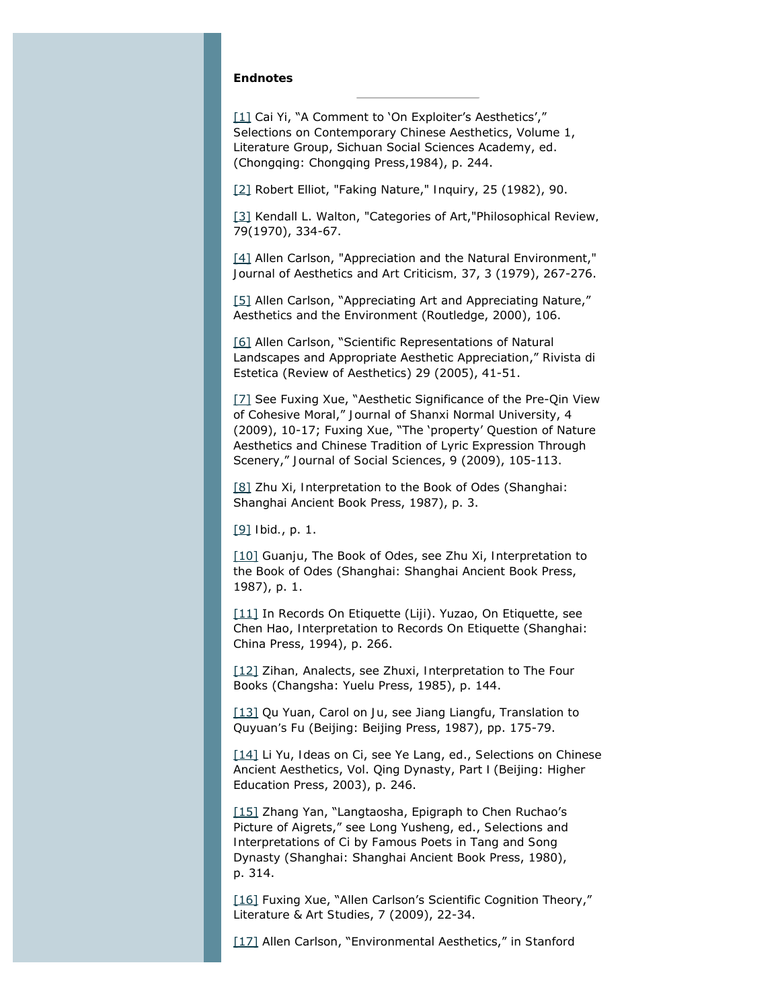#### **Endnotes**

<span id="page-13-0"></span>[\[1\]](#page-1-0) Cai Yi, "A Comment to 'On Exploiter's Aesthetics'," *Selections on Contemporary Chinese Aesthetics*, Volume 1, Literature Group, Sichuan Social Sciences Academy, ed. (Chongqing: Chongqing Press,1984), p. 244.

<span id="page-13-1"></span>[\[2\]](#page-1-1) Robert Elliot, "Faking Nature," *Inquiry*, 25 (1982), 90.

<span id="page-13-2"></span>[\[3\]](#page-2-0) Kendall L. Walton, "Categories of Art,"*Philosophical Review,* 79(1970), 334-67.

<span id="page-13-3"></span>[\[4\]](#page-2-1) Allen Carlson, "Appreciation and the Natural Environment," *Journal of Aesthetics and Art Criticism,* 37, 3 (1979), 267-276.

<span id="page-13-4"></span>[\[5\]](#page-2-2) Allen Carlson, "Appreciating Art and Appreciating Nature," *Aesthetics and the Environment* (Routledge, 2000), 106.

<span id="page-13-5"></span>[\[6\]](#page-2-3) Allen Carlson, "Scientific Representations of Natural Landscapes and Appropriate Aesthetic Appreciation," *Rivista di Estetica* (*Review of Aesthetics*) 29 (2005), 41-51.

<span id="page-13-6"></span>[\[7\]](#page-3-0) See Fuxing Xue, "Aesthetic Significance of the Pre-Qin View of Cohesive Moral," *Journal of Shanxi Normal University*, 4 (2009), 10-17; Fuxing Xue, "The 'property' Question of Nature Aesthetics and Chinese Tradition of Lyric Expression Through Scenery," *Journal of Social Sciences*, 9 (2009), 105-113.

<span id="page-13-7"></span>[\[8\]](#page-3-1) Zhu Xi, *Interpretation to the Book of Odes* (Shanghai: Shanghai Ancient Book Press, 1987), p. 3.

<span id="page-13-8"></span>[\[9\]](#page-3-1) *Ibid.*, p. 1.

<span id="page-13-9"></span>[\[10\]](#page-3-2) *Guanju*, *The Book of Odes*, see Zhu Xi, *Interpretation to the Book of Odes* (Shanghai: Shanghai Ancient Book Press, 1987), p. 1.

<span id="page-13-10"></span>[\[11\]](#page-3-3) In *Records On Etiquette* (*Liji*). Yuzao, *On Etiquette*, see Chen Hao, *Interpretation to Records On Etiquette* (Shanghai: China Press, 1994), p. 266.

<span id="page-13-11"></span>[\[12\]](#page-3-4) *Zihan, Analects*, see Zhuxi, *Interpretation to The Four Books* (Changsha: Yuelu Press, 1985), p. 144.

<span id="page-13-12"></span>[\[13\]](#page-3-5) Qu Yuan, *Carol on Ju*, see Jiang Liangfu, *Translation to Quyuan's Fu* (Beijing: Beijing Press, 1987), pp. 175-79.

<span id="page-13-13"></span>[\[14\]](#page-3-6) Li Yu, *Ideas on Ci*, see Ye Lang, ed., *Selections on Chinese Ancient Aesthetics*, Vol. Qing Dynasty, Part Ⅰ (Beijing: Higher Education Press, 2003), p. 246.

<span id="page-13-14"></span>[\[15\]](#page-4-0) Zhang Yan, "Langtaosha, Epigraph to Chen Ruchao's Picture of Aigrets," see Long Yusheng, ed., *Selections and Interpretations of Ci by Famous Poets in Tang and Song Dynasty* (Shanghai: Shanghai Ancient Book Press, 1980), p. 314.

<span id="page-13-15"></span>[\[16\]](#page-4-1) Fuxing Xue, "Allen Carlson's Scientific Cognition Theory," *Literature & Art Studies*, 7 (2009), 22-34.

<span id="page-13-16"></span>[\[17\]](#page-5-0) Allen Carlson, "Environmental Aesthetics," in *Stanford*